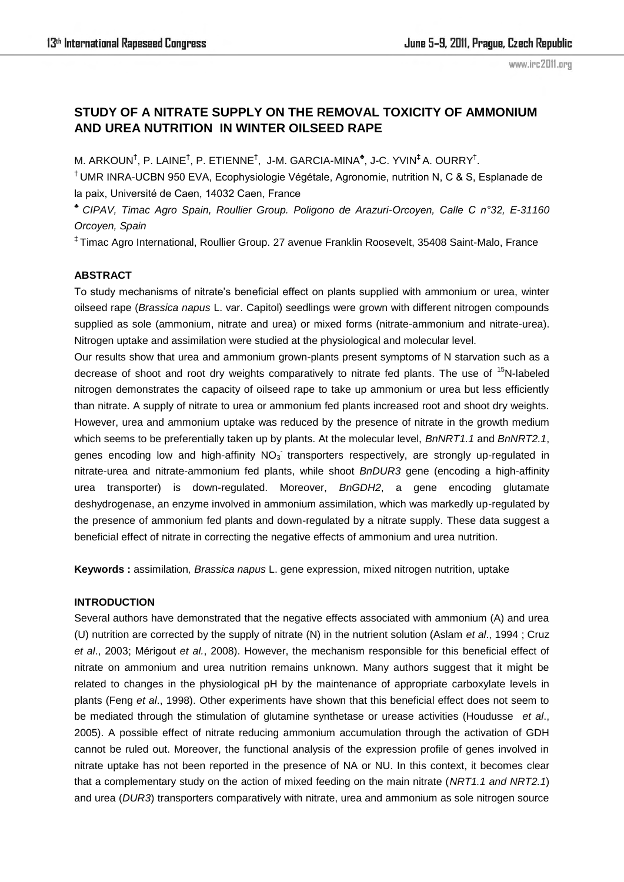# **STUDY OF A NITRATE SUPPLY ON THE REMOVAL TOXICITY OF AMMONIUM AND UREA NUTRITION IN WINTER OILSEED RAPE**

M. ARKOUN $^{\dagger}$ , P. LAINE $^{\dagger}$ , P. ETIENNE $^{\dagger}$ , J-M. GARCIA-MINA $^{\bullet}$ , J-C. YVIN $^{\ddagger}$  A. OURRY $^{\dagger}$ .

† UMR INRA-UCBN 950 EVA, Ecophysiologie Végétale, Agronomie, nutrition N, C & S, Esplanade de la paix, Université de Caen, 14032 Caen, France

*♣ CIPAV, Timac Agro Spain, Roullier Group. Poligono de Arazuri-Orcoyen, Calle C n°32, E-31160 Orcoyen, Spain*

‡ Timac Agro International, Roullier Group. 27 avenue Franklin Roosevelt, 35408 Saint-Malo, France

## **ABSTRACT**

To study mechanisms of nitrate's beneficial effect on plants supplied with ammonium or urea, winter oilseed rape (*Brassica napus* L. var. Capitol) seedlings were grown with different nitrogen compounds supplied as sole (ammonium, nitrate and urea) or mixed forms (nitrate-ammonium and nitrate-urea). Nitrogen uptake and assimilation were studied at the physiological and molecular level.

Our results show that urea and ammonium grown-plants present symptoms of N starvation such as a decrease of shoot and root dry weights comparatively to nitrate fed plants. The use of <sup>15</sup>N-labeled nitrogen demonstrates the capacity of oilseed rape to take up ammonium or urea but less efficiently than nitrate. A supply of nitrate to urea or ammonium fed plants increased root and shoot dry weights. However, urea and ammonium uptake was reduced by the presence of nitrate in the growth medium which seems to be preferentially taken up by plants. At the molecular level, *BnNRT1.1* and *BnNRT2.1*, genes encoding low and high-affinity  $NO<sub>3</sub>$  transporters respectively, are strongly up-regulated in nitrate-urea and nitrate-ammonium fed plants, while shoot *BnDUR3* gene (encoding a high-affinity urea transporter) is down-regulated. Moreover, *BnGDH2*, a gene encoding glutamate deshydrogenase, an enzyme involved in ammonium assimilation, which was markedly up-regulated by the presence of ammonium fed plants and down-regulated by a nitrate supply. These data suggest a beneficial effect of nitrate in correcting the negative effects of ammonium and urea nutrition.

**Keywords :** assimilation*, Brassica napus* L. gene expression, mixed nitrogen nutrition, uptake

### **INTRODUCTION**

Several authors have demonstrated that the negative effects associated with ammonium (A) and urea (U) nutrition are corrected by the supply of nitrate (N) in the nutrient solution (Aslam *et al*., 1994 ; Cruz *et al*., 2003; Mérigout *et al.*, 2008). However, the mechanism responsible for this beneficial effect of nitrate on ammonium and urea nutrition remains unknown. Many authors suggest that it might be related to changes in the physiological pH by the maintenance of appropriate carboxylate levels in plants (Feng *et al*., 1998). Other experiments have shown that this beneficial effect does not seem to be mediated through the stimulation of glutamine synthetase or urease activities (Houdusse *et al*., 2005). A possible effect of nitrate reducing ammonium accumulation through the activation of GDH cannot be ruled out. Moreover, the functional analysis of the expression profile of genes involved in nitrate uptake has not been reported in the presence of NA or NU. In this context, it becomes clear that a complementary study on the action of mixed feeding on the main nitrate (*NRT1.1 and NRT2.1*) and urea (*DUR3*) transporters comparatively with nitrate, urea and ammonium as sole nitrogen source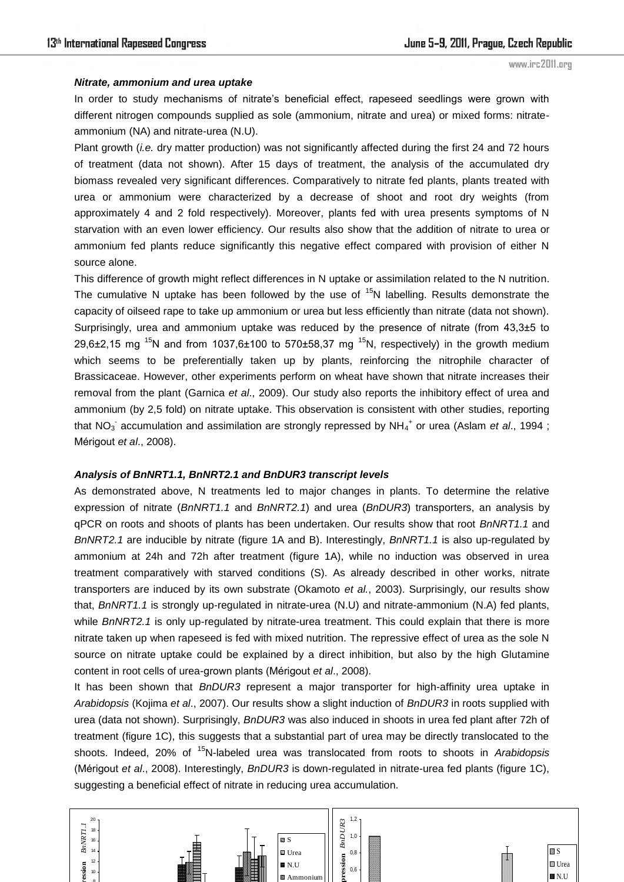#### *Nitrate, ammonium and urea uptake*

In order to study mechanisms of nitrate's beneficial effect, rapeseed seedlings were grown with different nitrogen compounds supplied as sole (ammonium, nitrate and urea) or mixed forms: nitrateammonium (NA) and nitrate-urea (N.U).

Plant growth (*i.e.* dry matter production) was not significantly affected during the first 24 and 72 hours of treatment (data not shown). After 15 days of treatment, the analysis of the accumulated dry biomass revealed very significant differences. Comparatively to nitrate fed plants, plants treated with urea or ammonium were characterized by a decrease of shoot and root dry weights (from approximately 4 and 2 fold respectively). Moreover, plants fed with urea presents symptoms of N starvation with an even lower efficiency. Our results also show that the addition of nitrate to urea or ammonium fed plants reduce significantly this negative effect compared with provision of either N source alone.

This difference of growth might reflect differences in N uptake or assimilation related to the N nutrition. The cumulative N uptake has been followed by the use of  $15N$  labelling. Results demonstrate the capacity of oilseed rape to take up ammonium or urea but less efficiently than nitrate (data not shown). Surprisingly, urea and ammonium uptake was reduced by the presence of nitrate (from 43,3±5 to 29,6 $\pm$ 2,15 mg <sup>15</sup>N and from 1037,6 $\pm$ 100 to 570 $\pm$ 58,37 mg <sup>15</sup>N, respectively) in the growth medium which seems to be preferentially taken up by plants, reinforcing the nitrophile character of Brassicaceae. However, other experiments perform on wheat have shown that nitrate increases their removal from the plant (Garnica *et al*., 2009). Our study also reports the inhibitory effect of urea and ammonium (by 2,5 fold) on nitrate uptake. This observation is consistent with other studies, reporting that NO<sub>3</sub> accumulation and assimilation are strongly repressed by NH<sub>4</sub><sup>+</sup> or urea (Aslam *et al.*, 1994 ; Mérigout *et al*., 2008).

#### *Analysis of BnNRT1.1, BnNRT2.1 and BnDUR3 transcript levels*

As demonstrated above, N treatments led to major changes in plants. To determine the relative expression of nitrate (*BnNRT1.1* and *BnNRT2.1*) and urea (*BnDUR3*) transporters, an analysis by qPCR on roots and shoots of plants has been undertaken. Our results show that root *BnNRT1.1* and *BnNRT2.1* are inducible by nitrate (figure 1A and B). Interestingly, *BnNRT1.1* is also up-regulated by ammonium at 24h and 72h after treatment (figure 1A), while no induction was observed in urea treatment comparatively with starved conditions (S). As already described in other works, nitrate transporters are induced by its own substrate (Okamoto *et al.*, 2003). Surprisingly, our results show that, *BnNRT1.1* is strongly up-regulated in nitrate-urea (N.U) and nitrate-ammonium (N.A) fed plants, while *BnNRT2.1* is only up-regulated by nitrate-urea treatment. This could explain that there is more nitrate taken up when rapeseed is fed with mixed nutrition. The repressive effect of urea as the sole N source on nitrate uptake could be explained by a direct inhibition, but also by the high Glutamine content in root cells of urea-grown plants (Mérigout *et al*., 2008).

It has been shown that *BnDUR3* represent a major transporter for high-affinity urea uptake in *Arabidopsis* (Kojima *et al*., 2007). Our results show a slight induction of *BnDUR3* in roots supplied with urea (data not shown). Surprisingly, *BnDUR3* was also induced in shoots in urea fed plant after 72h of treatment (figure 1C), this suggests that a substantial part of urea may be directly translocated to the shoots. Indeed, 20% of <sup>15</sup>N-labeled urea was translocated from roots to shoots in *Arabidopsis* (Mérigout *et al*., 2008). Interestingly, *BnDUR3* is down-regulated in nitrate-urea fed plants (figure 1C), suggesting a beneficial effect of nitrate in reducing urea accumulation.

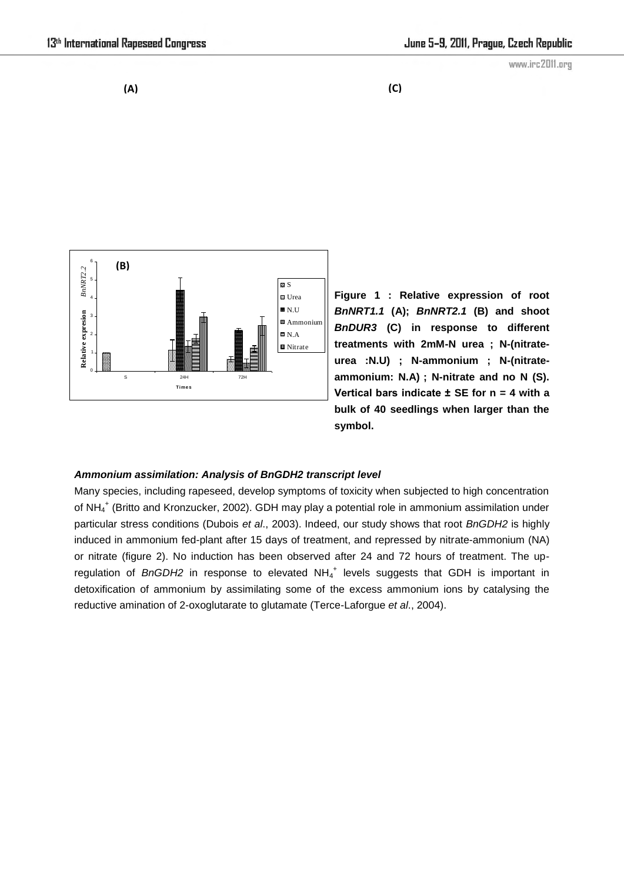



**Figure 1 : Relative expression of root**  *BnNRT1.1* **(A);** *BnNRT2.1* **(B) and shoot**  *BnDUR3* **(C) in response to different treatments with 2mM-N urea ; N-(nitrateurea :N.U) ; N-ammonium ; N-(nitrateammonium: N.A) ; N-nitrate and no N (S). Vertical bars indicate ± SE for n = 4 with a bulk of 40 seedlings when larger than the symbol.** 

# *Ammonium assimilation: Analysis of BnGDH2 transcript level*

Many species, including rapeseed, develop symptoms of toxicity when subjected to high concentration of NH<sub>4</sub><sup>+</sup> (Britto and Kronzucker, 2002). GDH may play a potential role in ammonium assimilation under particular stress conditions (Dubois *et al*., 2003). Indeed, our study shows that root *BnGDH2* is highly induced in ammonium fed-plant after 15 days of treatment, and repressed by nitrate-ammonium (NA) or nitrate (figure 2). No induction has been observed after 24 and 72 hours of treatment. The upregulation of *BnGDH2* in response to elevated NH<sub>4</sub><sup>+</sup> levels suggests that GDH is important in detoxification of ammonium by assimilating some of the excess ammonium ions by catalysing the reductive amination of 2-oxoglutarate to glutamate (Terce-Laforgue *et al*., 2004).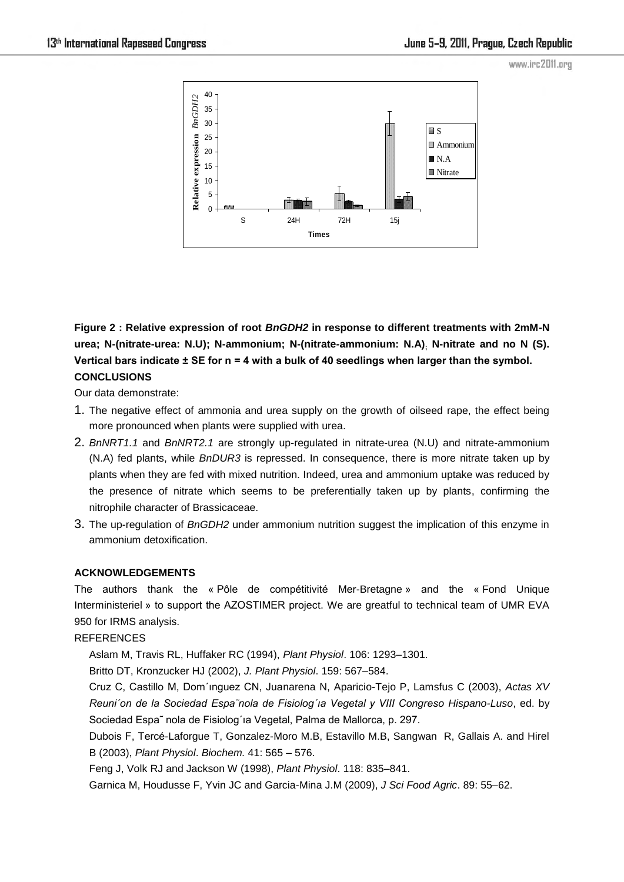

**Figure 2 : Relative expression of root** *BnGDH2* **in response to different treatments with 2mM-N urea; N-(nitrate-urea: N.U); N-ammonium; N-(nitrate-ammonium: N.A); N-nitrate and no N (S). Vertical bars indicate ± SE for n = 4 with a bulk of 40 seedlings when larger than the symbol. CONCLUSIONS** 

Our data demonstrate:

- 1. The negative effect of ammonia and urea supply on the growth of oilseed rape, the effect being more pronounced when plants were supplied with urea.
- 2. *BnNRT1.1* and *BnNRT2.1* are strongly up-regulated in nitrate-urea (N.U) and nitrate-ammonium (N.A) fed plants, while *BnDUR3* is repressed. In consequence, there is more nitrate taken up by plants when they are fed with mixed nutrition. Indeed, urea and ammonium uptake was reduced by the presence of nitrate which seems to be preferentially taken up by plants, confirming the nitrophile character of Brassicaceae.
- 3. The up-regulation of *BnGDH2* under ammonium nutrition suggest the implication of this enzyme in ammonium detoxification.

#### **ACKNOWLEDGEMENTS**

The authors thank the « Pôle de compétitivité Mer-Bretagne » and the « Fond Unique Interministeriel » to support the AZOSTIMER project. We are greatful to technical team of UMR EVA 950 for IRMS analysis.

#### REFERENCES

Aslam M, Travis RL, Huffaker RC (1994), *Plant Physiol*. 106: 1293–1301.

Britto DT, Kronzucker HJ (2002), *J. Plant Physiol*. 159: 567–584.

Cruz C, Castillo M, Dom´ınguez CN, Juanarena N, Aparicio-Tejo P, Lamsfus C (2003), *Actas XV Reuni´on de la Sociedad Espa˜nola de Fisiolog´ıa Vegetal y VIII Congreso Hispano-Luso*, ed. by Sociedad Espa˜ nola de Fisiolog´ıa Vegetal, Palma de Mallorca, p. 297.

Dubois F, Tercé-Laforgue T, Gonzalez-Moro M.B, Estavillo M.B, Sangwan R, Gallais A. and Hirel B (2003), *Plant Physiol*. *Biochem.* 41: 565 – 576.

Feng J, Volk RJ and Jackson W (1998), *Plant Physiol*. 118: 835–841.

Garnica M, Houdusse F, Yvin JC and Garcia-Mina J.M (2009), *J Sci Food Agric*. 89: 55–62.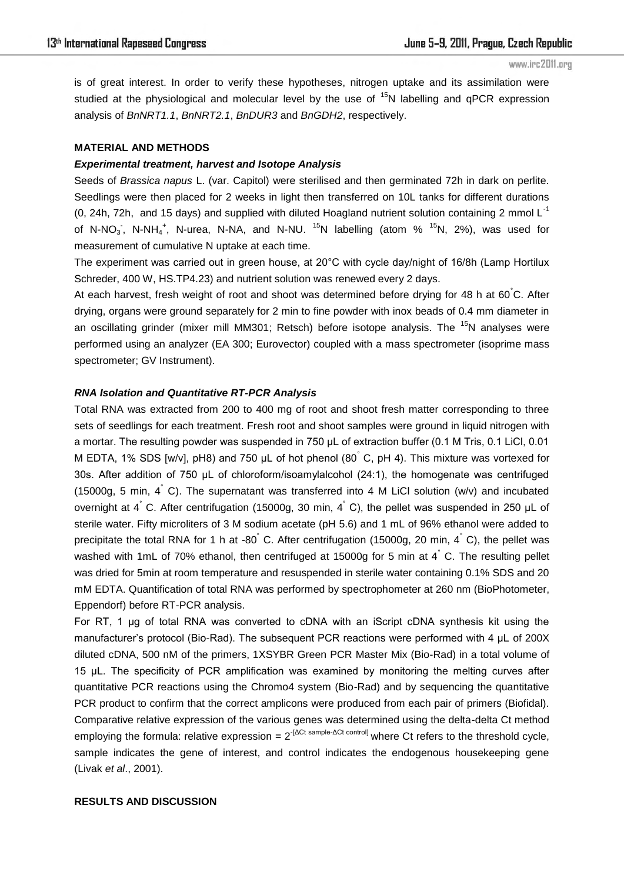is of great interest. In order to verify these hypotheses, nitrogen uptake and its assimilation were studied at the physiological and molecular level by the use of  $15N$  labelling and qPCR expression analysis of *BnNRT1.1*, *BnNRT2.1*, *BnDUR3* and *BnGDH2*, respectively.

#### **MATERIAL AND METHODS**

# *Experimental treatment, harvest and Isotope Analysis*

Seeds of *Brassica napus* L. (var. Capitol) were sterilised and then germinated 72h in dark on perlite. Seedlings were then placed for 2 weeks in light then transferred on 10L tanks for different durations (0, 24h, 72h, and 15 days) and supplied with diluted Hoagland nutrient solution containing 2 mmol  $L^{-1}$ of N-NO<sub>3</sub>, N-NH<sub>4</sub><sup>+</sup>, N-urea, N-NA, and N-NU. <sup>15</sup>N labelling (atom % <sup>15</sup>N, 2%), was used for measurement of cumulative N uptake at each time.

The experiment was carried out in green house, at 20°C with cycle day/night of 16/8h (Lamp Hortilux Schreder, 400 W, HS.TP4.23) and nutrient solution was renewed every 2 days.

At each harvest, fresh weight of root and shoot was determined before drying for 48 h at 60°C. After drying, organs were ground separately for 2 min to fine powder with inox beads of 0.4 mm diameter in an oscillating grinder (mixer mill MM301; Retsch) before isotope analysis. The  $15N$  analyses were performed using an analyzer (EA 300; Eurovector) coupled with a mass spectrometer (isoprime mass spectrometer; GV Instrument).

#### *RNA Isolation and Quantitative RT-PCR Analysis*

Total RNA was extracted from 200 to 400 mg of root and shoot fresh matter corresponding to three sets of seedlings for each treatment. Fresh root and shoot samples were ground in liquid nitrogen with a mortar. The resulting powder was suspended in 750 µL of extraction buffer (0.1 M Tris, 0.1 LiCl, 0.01 M EDTA, 1% SDS [w/v], pH8) and 750 µL of hot phenol (80 °C, pH 4). This mixture was vortexed for 30s. After addition of 750 µL of chloroform/isoamylalcohol (24:1), the homogenate was centrifuged (15000g, 5 min, 4° C). The supernatant was transferred into 4 M LiCl solution (w/v) and incubated overnight at 4° C. After centrifugation (15000g, 30 min, 4° C), the pellet was suspended in 250 µL of sterile water. Fifty microliters of 3 M sodium acetate (pH 5.6) and 1 mL of 96% ethanol were added to precipitate the total RNA for 1 h at -80 $\degree$  C. After centrifugation (15000g, 20 min, 4 $\degree$  C), the pellet was washed with 1mL of 70% ethanol, then centrifuged at 15000g for 5 min at 4° C. The resulting pellet was dried for 5min at room temperature and resuspended in sterile water containing 0.1% SDS and 20 mM EDTA. Quantification of total RNA was performed by spectrophometer at 260 nm (BioPhotometer, Eppendorf) before RT-PCR analysis.

For RT, 1 µg of total RNA was converted to cDNA with an iScript cDNA synthesis kit using the manufacturer's protocol (Bio-Rad). The subsequent PCR reactions were performed with 4 µL of 200X diluted cDNA, 500 nM of the primers, 1XSYBR Green PCR Master Mix (Bio-Rad) in a total volume of 15 µL. The specificity of PCR amplification was examined by monitoring the melting curves after quantitative PCR reactions using the Chromo4 system (Bio-Rad) and by sequencing the quantitative PCR product to confirm that the correct amplicons were produced from each pair of primers (Biofidal). Comparative relative expression of the various genes was determined using the delta-delta Ct method employing the formula: relative expression =  $2^{[ACt \text{ sample-}\Delta Ct \text{ control}]}$  where Ct refers to the threshold cycle, sample indicates the gene of interest, and control indicates the endogenous housekeeping gene (Livak *et al*., 2001).

#### **RESULTS AND DISCUSSION**